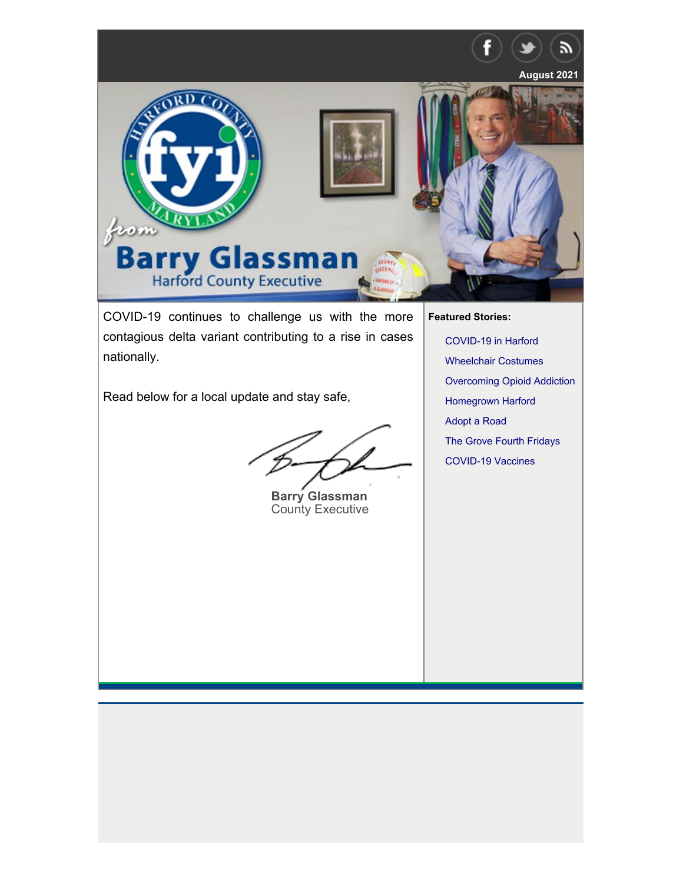

<span id="page-0-0"></span>

COVID-19 continues to challenge us with the more contagious delta variant contributing to a rise in cases nationally.

Read below for a local update and stay safe,

**Barry Glassman** County Executive

**Featured Stories:**

[COVID-19 in Harford](#page-1-0) [Wheelchair Costumes](#page-1-1) [Overcoming Opioid Addiction](#page-2-0) [Homegrown Harford](#page-2-1) [Adopt a Road](#page-3-0) [The Grove Fourth Fridays](#page-3-1) [COVID-19 Vaccines](#page-4-0)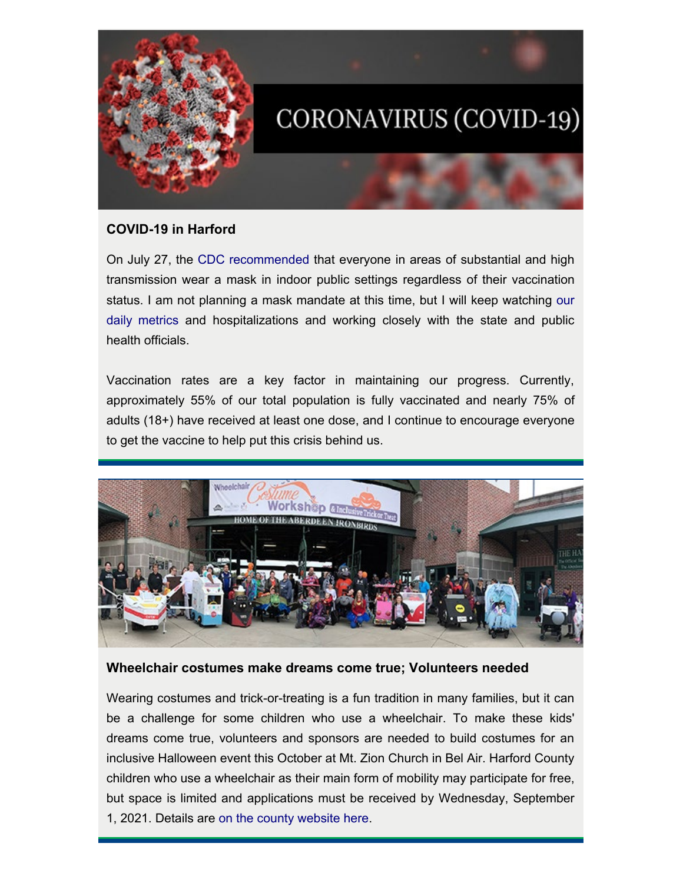

# <span id="page-1-0"></span>**COVID-19 in Harford**

On July 27, the [CDC recommended](https://www.cdc.gov/media/releases/2021/s0730-mmwr-covid-19.html) that everyone in areas of substantial and high transmission wear a mask in indoor public settings regardless of their vaccination status. I am not planning a mask mandate at this time, but I will keep watchin[g our](https://coronavirus.maryland.gov/) [daily metrics](https://coronavirus.maryland.gov/) and hospitalizations and working closely with the state and public health officials.

Vaccination rates are a key factor in maintaining our progress. Currently, approximately 55% of our total population is fully vaccinated and nearly 75% of adults (18+) have received at least one dose, and I continue to encourage everyone to get the vaccine to help put this crisis behind us.



### <span id="page-1-1"></span>**Wheelchair costumes make dreams come true; Volunteers needed**

Wearing costumes and trick-or-treating is a fun tradition in many families, but it can be a challenge for some children who use a wheelchair. To make these kids' dreams come true, volunteers and sponsors are needed to build costumes for an inclusive Halloween event this October at Mt. Zion Church in Bel Air. Harford County children who use a wheelchair as their main form of mobility may participate for free, but space is limited and applications must be received by Wednesday, September 1, 2021. Details are [on the county website here.](https://www.harfordcountymd.gov/2737/Costume-Workshop)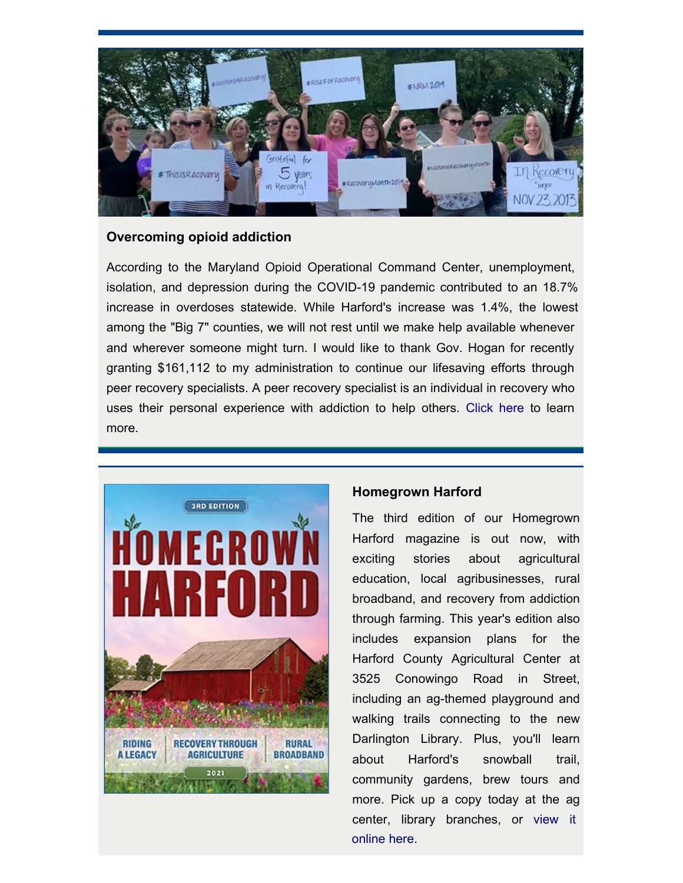

#### <span id="page-2-0"></span>**Overcoming opioid addiction**

According to the Maryland Opioid Operational Command Center, unemployment, isolation, and depression during the COVID-19 pandemic contributed to an 18.7% increase in overdoses statewide. While Harford's increase was 1.4%, the lowest among the "Big 7" counties, we will not rest until we make help available whenever and wherever someone might turn. I would like to thank Gov. Hogan for recently granting \$161,112 to my administration to continue our lifesaving efforts through peer recovery specialists. A peer recovery specialist is an individual in recovery who uses their personal experience with addiction to help others[. Click here](https://www.harfordcountymd.gov/ArchiveCenter/ViewFile/Item/1951) to learn more.

<span id="page-2-1"></span>

### **[Homegrown](#page-0-0) [Harford](#page-0-0)**

The third edition of our Homegrown Harford magazine is out now, with exciting stories about agricultural education, local agribusinesses, rural broadband, and recovery from addiction through farming. This year's edition also includes expansion plans for the Harford County Agricultural Center at 3525 Conowingo Road in Street, including an ag-themed playground and walking trails connecting to the new Darlington Library. Plus, you'll learn about Harford's snowball trail, community gardens, brew tours and more. Pick up a copy today at the ag center, library branches, or [view it](https://www.harfordcountymd.gov/2907/Homegrown-Harford) online here.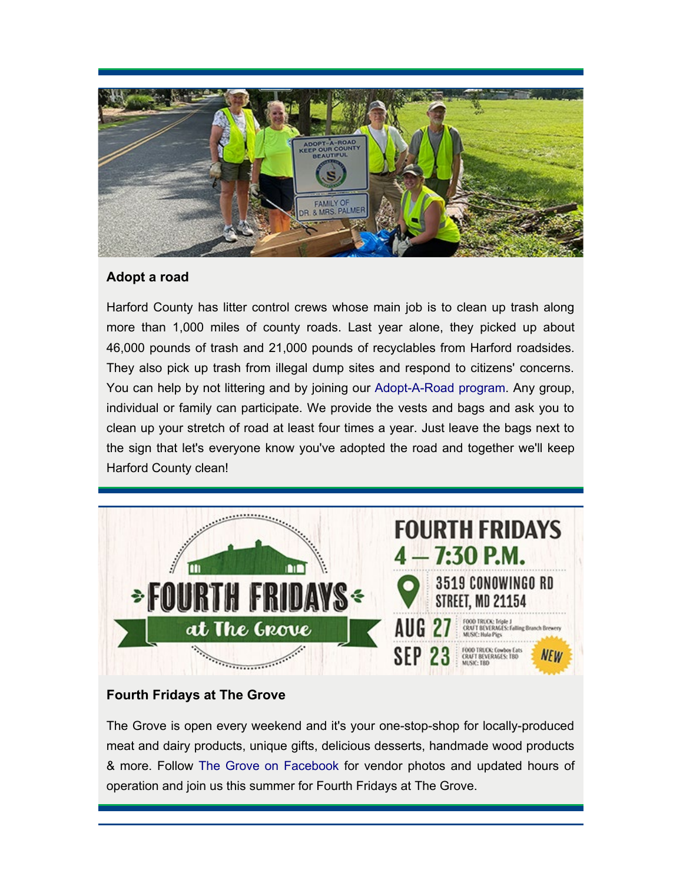

### <span id="page-3-0"></span>**Adopt a road**

Harford County has litter control crews whose main job is to clean up trash along more than 1,000 miles of county roads. Last year alone, they picked up about 46,000 pounds of trash and 21,000 pounds of recyclables from Harford roadsides. They also pick up trash from illegal dump sites and respond to citizens' concerns. You can help by not littering and by joining our [Adopt-A-Road program](https://www.harfordcountymd.gov/188/Adopt-A-Road-Program). Any group, individual or family can participate. We provide the vests and bags and ask you to clean up your stretch of road at least four times a year. Just leave the bags next to the sign that let's everyone know you've adopted the road and together we'll keep Harford County clean!



# <span id="page-3-1"></span>**Fourth Fridays at The Grove**

The Grove is open every weekend and it's your one-stop-shop for locally-produced meat and dairy products, unique gifts, delicious desserts, handmade wood products & more. Follow [The Grove on Facebook](https://www.facebook.com/TheGroveatHarford) for vendor photos and updated hours of operation and join us this summer for Fourth Fridays at The Grove.